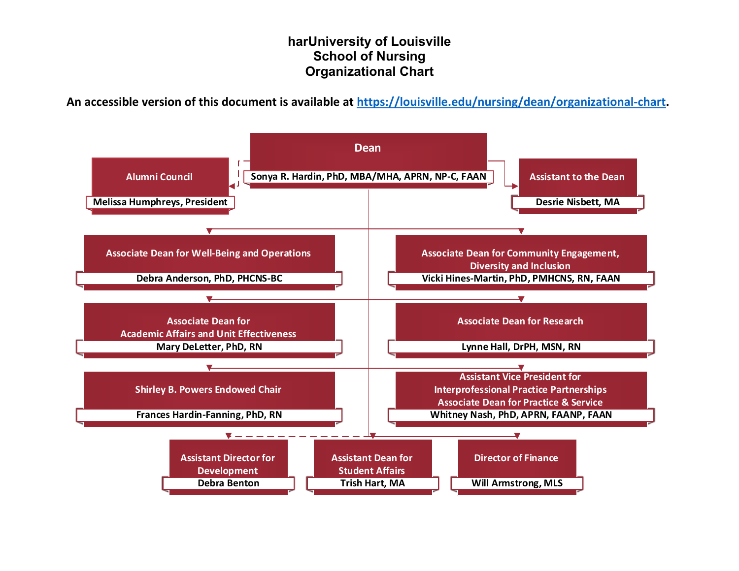### **harUniversity of Louisville School of Nursing Organizational Chart**

**An accessible version of this document is available at [https://louisville.edu/nursing/dean/organizational-chart.](https://louisville.edu/nursing/dean/organizational-chart)**

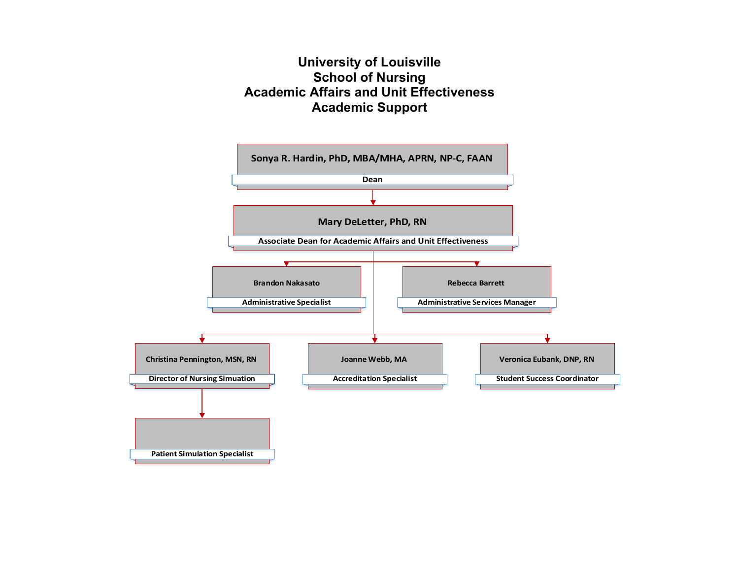## **University of Louisville School of Nursing Academic Affairs and Unit Effectiveness Academic Support**

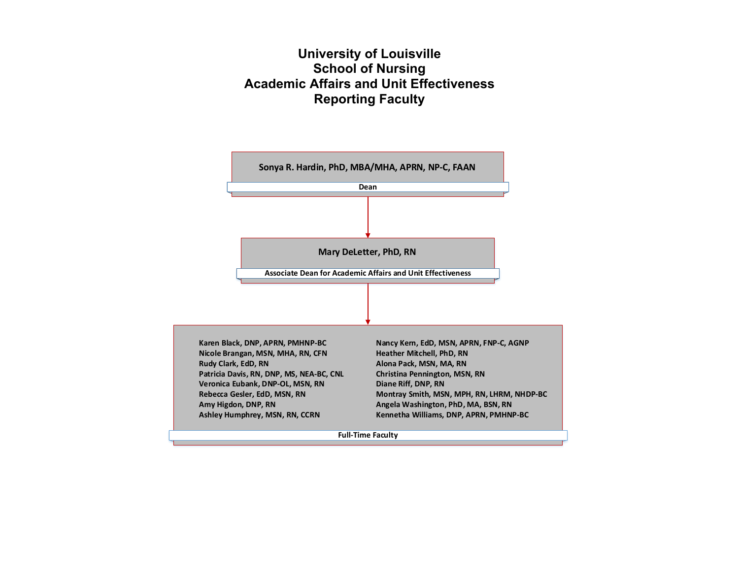# **University of Louisville School of Nursing Academic Affairs and Unit Effectiveness Reporting Faculty**

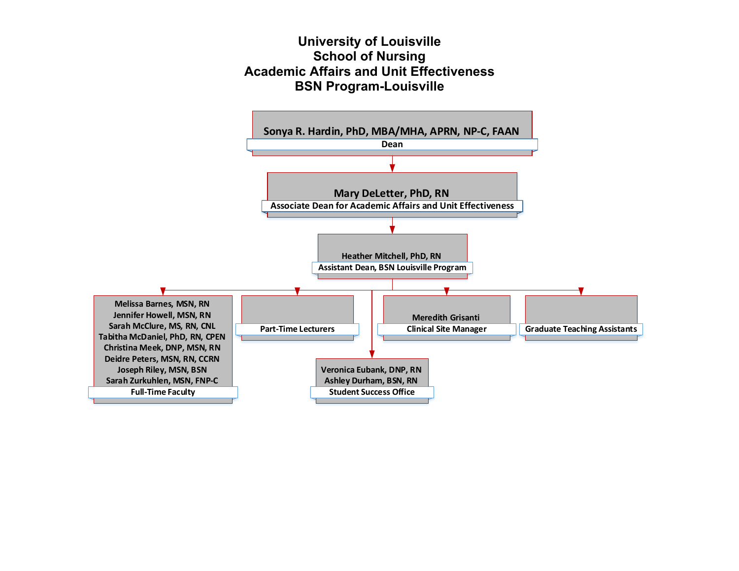## **University of Louisville School of Nursing Academic Affairs and Unit Effectiveness BSN Program-Louisville**

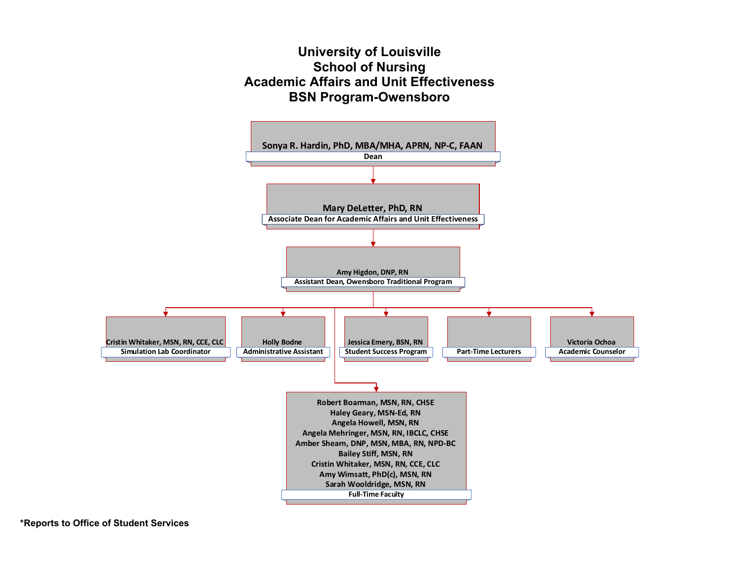## **University of Louisville School of Nursing Academic Affairs and Unit Effectiveness BSN Program-Owensboro**

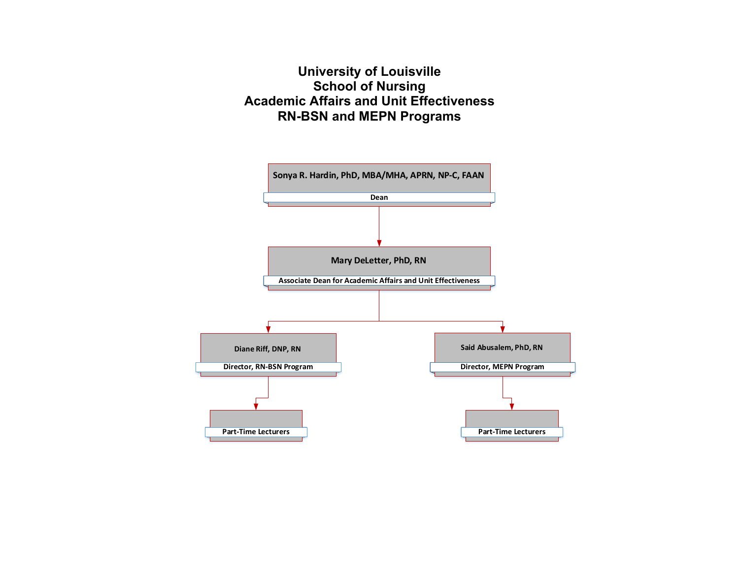# **University of Louisville School of Nursing Academic Affairs and Unit Effectiveness RN-BSN and MEPN Programs**

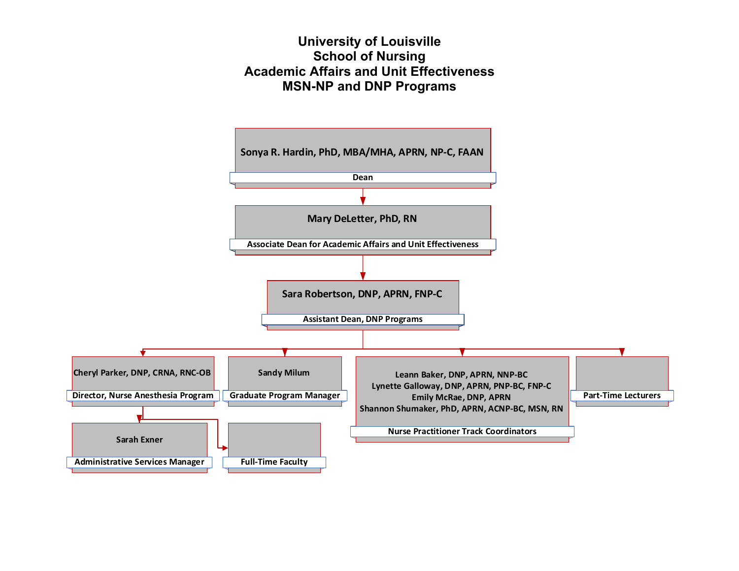### **University of Louisville School of Nursing Academic Affairs and Unit Effectiveness MSN-NP and DNP Programs**

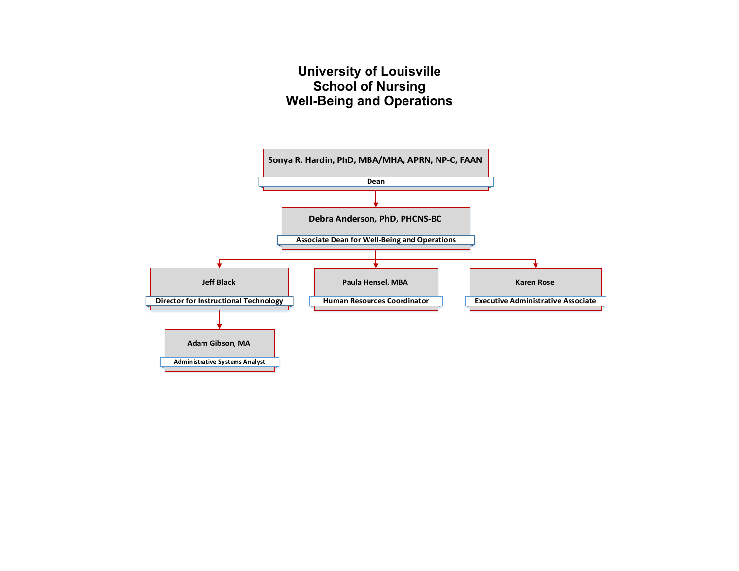# **University of Louisville School of Nursing Well-Being and Operations**

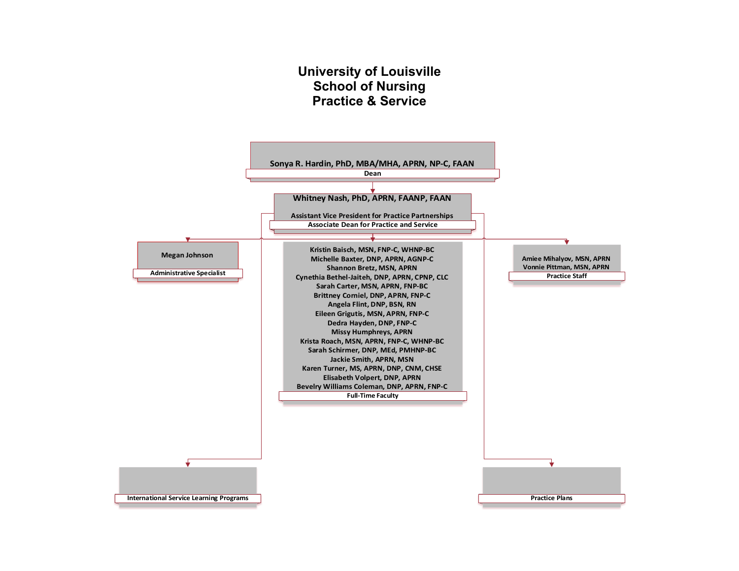#### **University of Louisville School of Nursing Practice & Service**

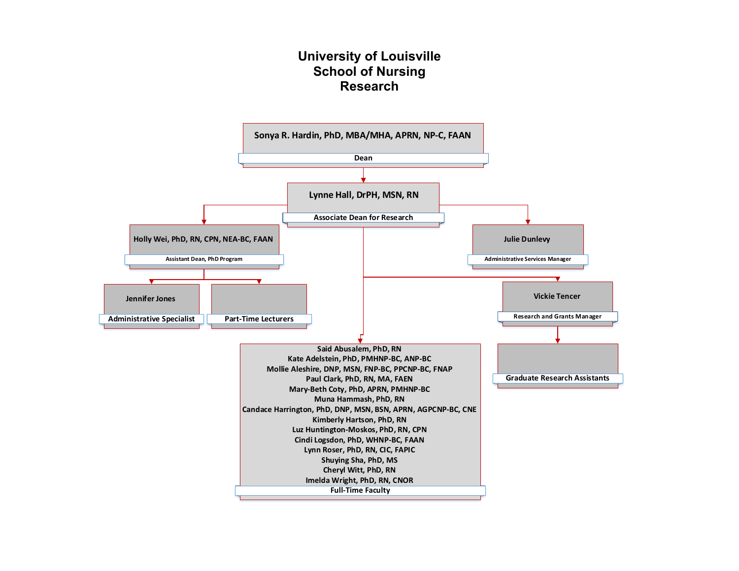## **University of Louisville School of Nursing Research**

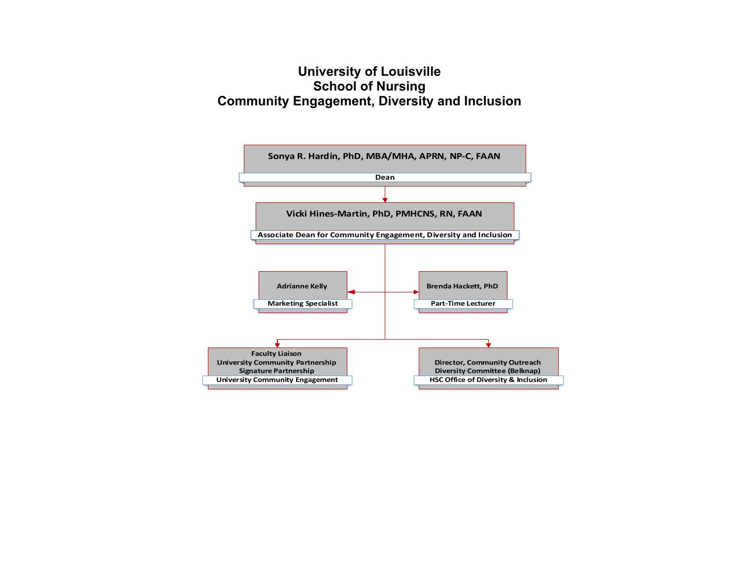# **University of Louisville School of Nursing Community Engagement, Diversity and Inclusion**

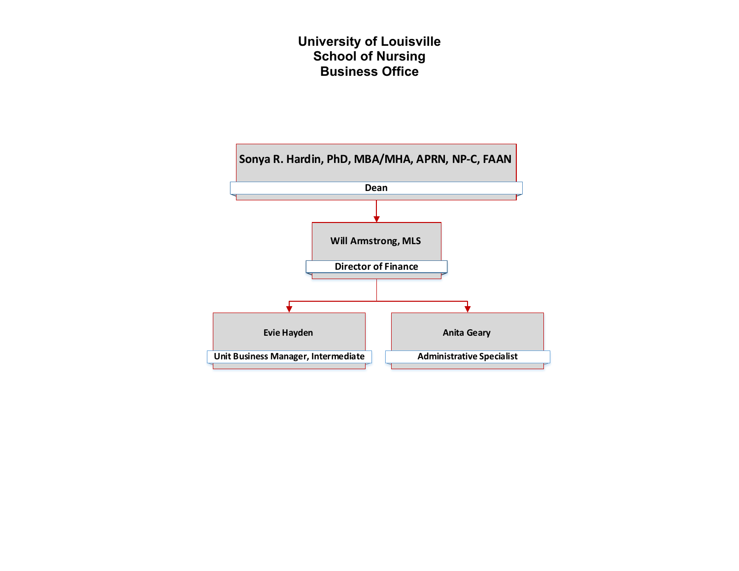## **University of Louisville School of Nursing Business Office**